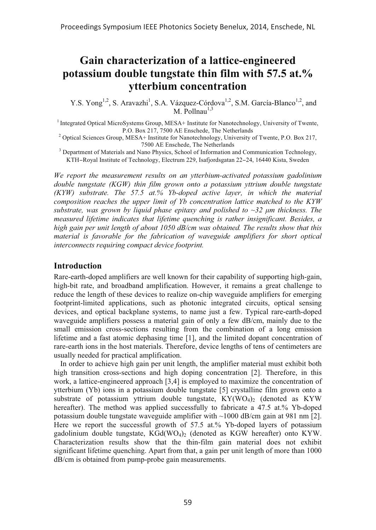# **Gain characterization of a lattice-engineered potassium double tungstate thin film with 57.5 at.% ytterbium concentration**

Y.S. Yong<sup>1,2</sup>, S. Aravazhi<sup>1</sup>, S.A. Vázquez-Córdova<sup>1,2</sup>, S.M. García-Blanco<sup>1,2</sup>, and  $M.$  Pollnau $^{1,3}$ 

<sup>1</sup> Integrated Optical MicroSystems Group, MESA+ Institute for Nanotechnology, University of Twente,

P.O. Box 217, 7500 AE Enschede, The Netherlands<br><sup>2</sup> Optical Sciences Group, MESA+ Institute for Nanotechnology, University of Twente, P.O. Box 217,

<sup>3</sup> Department of Materials and Nano Physics, School of Information and Communication Technology, KTH−Royal Institute of Technology, Electrum 229, Isafjordsgatan 22−24, 16440 Kista, Sweden

*We report the measurement results on an ytterbium-activated potassium gadolinium*  double tungstate (KGW) thin film grown onto a potassium yttrium double tungstate *(KYW) substrate. The 57.5 at.% Yb-doped active layer, in which the material composition reaches the upper limit of Yb concentration lattice matched to the KYW substrate, was grown by liquid phase epitaxy and polished to ~32 μm thickness. The measured lifetime indicates that lifetime quenching is rather insignificant. Besides, a high gain per unit length of about 1050 dB/cm was obtained. The results show that this material is favorable for the fabrication of waveguide amplifiers for short optical interconnects requiring compact device footprint.* 

## **Introduction**

Rare-earth-doped amplifiers are well known for their capability of supporting high-gain, high-bit rate, and broadband amplification. However, it remains a great challenge to reduce the length of these devices to realize on-chip waveguide amplifiers for emerging footprint-limited applications, such as photonic integrated circuits, optical sensing devices, and optical backplane systems, to name just a few. Typical rare-earth-doped waveguide amplifiers possess a material gain of only a few dB/cm, mainly due to the small emission cross-sections resulting from the combination of a long emission lifetime and a fast atomic dephasing time [1], and the limited dopant concentration of rare-earth ions in the host materials. Therefore, device lengths of tens of centimeters are usually needed for practical amplification.

In order to achieve high gain per unit length, the amplifier material must exhibit both high transition cross-sections and high doping concentration [2]. Therefore, in this work, a lattice-engineered approach [3,4] is employed to maximize the concentration of ytterbium (Yb) ions in a potassium double tungstate [5] crystalline film grown onto a substrate of potassium yttrium double tungstate,  $KY(WO<sub>4</sub>)<sub>2</sub>$  (denoted as KYW) hereafter). The method was applied successfully to fabricate a 47.5 at.% Yb-doped potassium double tungstate waveguide amplifier with ~1000 dB/cm gain at 981 nm [2]. Here we report the successful growth of 57.5 at.% Yb-doped layers of potassium gadolinium double tungstate,  $KGd(WO<sub>4</sub>)<sub>2</sub>$  (denoted as KGW hereafter) onto KYW. Characterization results show that the thin-film gain material does not exhibit significant lifetime quenching. Apart from that, a gain per unit length of more than 1000 dB/cm is obtained from pump-probe gain measurements.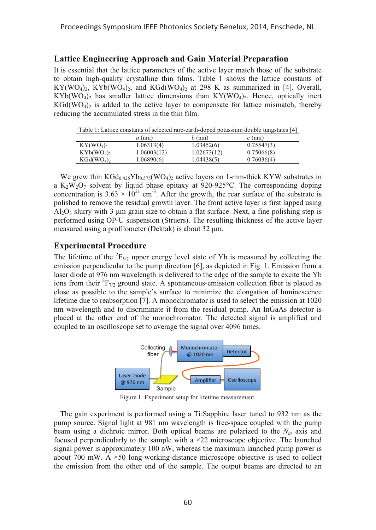## **Lattice Engineering Approach and Gain Material Preparation**

It is essential that the lattice parameters of the active layer match those of the substrate to obtain high-quality crystalline thin films. Table 1 shows the lattice constants of  $KY(WO_4)_2$ ,  $KYb(WO_4)_2$ , and  $KGd(WO_4)_2$  at 298 K as summarized in [4]. Overall,  $KYb(WO<sub>4</sub>)<sub>2</sub>$  has smaller lattice dimensions than  $KY(WO<sub>4</sub>)<sub>2</sub>$ . Hence, optically inert  $KGd(WO<sub>4</sub>)<sub>2</sub>$  is added to the active layer to compensate for lattice mismatch, thereby reducing the accumulated stress in the thin film.

Table 1: Lattice constants of selected rare-earth-doped potassium double tungstates [4]

|                                   | $a$ (nm)    | $b$ (nm)    | $c$ (nm)   |
|-----------------------------------|-------------|-------------|------------|
| KY(WO <sub>4</sub> ) <sub>2</sub> | 1.06313(4)  | 1.03452(6)  | 0.75547(3) |
| $KYb(WO_4)$                       | 1.06003(12) | 1.02673(12) | 0.75066(8) |
| $KGd(WO4)$ ,                      | 1.06890(6)  | 1.04438(5)  | 0.76036(4) |

We grew thin  $KGd_{0.425}Yb_{0.575}(WO_4)_2$  active layers on 1-mm-thick KYW substrates in a K<sub>2</sub>W<sub>2</sub>O<sub>7</sub> solvent by liquid phase epitaxy at 920-925<sup>o</sup>C. The corresponding doping concentration is 3.63  $\times$  10<sup>21</sup> cm<sup>-3</sup>. After the growth, the rear surface of the substrate is polished to remove the residual growth layer. The front active layer is first lapped using  $A<sub>1</sub>Q<sub>3</sub>$  slurry with 3 µm grain size to obtain a flat surface. Next, a fine polishing step is performed using OP-U suspension (Struers). The resulting thickness of the active layer measured using a profilometer (Dektak) is about 32 μm.

# **Experimental Procedure**

The lifetime of the  ${}^{2}F_{5/2}$  upper energy level state of Yb is measured by collecting the emission perpendicular to the pump direction [6], as depicted in Fig. 1. Emission from a laser diode at 976 nm wavelength is delivered to the edge of the sample to excite the Yb ions from their  ${}^{2}F_{7/2}$  ground state. A spontaneous-emission collection fiber is placed as close as possible to the sample's surface to minimize the elongation of luminescence lifetime due to reabsorption [7]. A monochromator is used to select the emission at 1020 nm wavelength and to discriminate it from the residual pump. An InGaAs detector is placed at the other end of the monochromator. The detected signal is amplified and coupled to an oscilloscope set to average the signal over 4096 times.



Figure 1: Experiment setup for lifetime measurement.

The gain experiment is performed using a Ti:Sapphire laser tuned to 932 nm as the pump source. Signal light at 981 nm wavelength is free-space coupled with the pump beam using a dichroic mirror. Both optical beams are polarized to the  $N_m$  axis and focused perpendicularly to the sample with a  $\times$ 22 microscope objective. The launched signal power is approximately 100 nW, whereas the maximum launched pump power is about 700 mW. A  $\times$ 50 long-working-distance microscope objective is used to collect the emission from the other end of the sample. The output beams are directed to an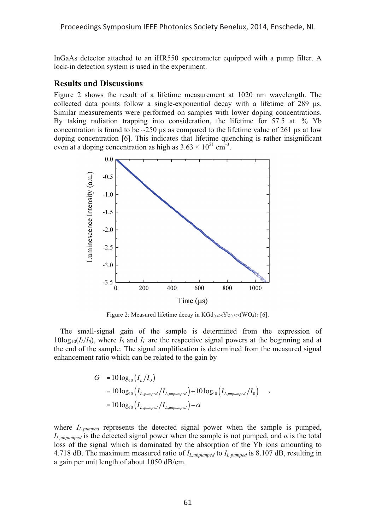Proceedings Symposium IEEE Photonics Society Benelux, 2014, Enschede, NL

InGaAs detector attached to an iHR550 spectrometer equipped with a pump filter. A lock-in detection system is used in the experiment.

#### **Results and Discussions**

Figure 2 shows the result of a lifetime measurement at 1020 nm wavelength. The collected data points follow a single-exponential decay with a lifetime of 289 μs. Similar measurements were performed on samples with lower doping concentrations. By taking radiation trapping into consideration, the lifetime for 57.5 at. % Yb concentration is found to be  $\sim$ 250 μs as compared to the lifetime value of 261 μs at low doping concentration [6]. This indicates that lifetime quenching is rather insignificant even at a doping concentration as high as  $3.63 \times 10^{21}$  cm<sup>-3</sup>.



Figure 2: Measured lifetime decay in  $KGd_{0.425}Yb_{0.575}(WO_4)_2$  [6].

The small-signal gain of the sample is determined from the expression of  $10\log_{10}(I_L/I_0)$ , where  $I_0$  and  $I_L$  are the respective signal powers at the beginning and at the end of the sample. The signal amplification is determined from the measured signal enhancement ratio which can be related to the gain by

$$
G = 10 \log_{10} (I_L/I_0)
$$
  
=  $10 \log_{10} (I_{L,pumped}/I_{L,unpumped}) + 10 \log_{10} (I_{L,unpumped}/I_0)$ ,  
=  $10 \log_{10} (I_{L,pumped}/I_{L,unpumped}) - \alpha$ 

where  $I_{L,pumped}$  represents the detected signal power when the sample is pumped, *IL,unpumped* is the detected signal power when the sample is not pumped, and *α* is the total loss of the signal which is dominated by the absorption of the Yb ions amounting to 4.718 dB. The maximum measured ratio of *IL,unpumped* to *IL,pumped* is 8.107 dB, resulting in a gain per unit length of about 1050 dB/cm.